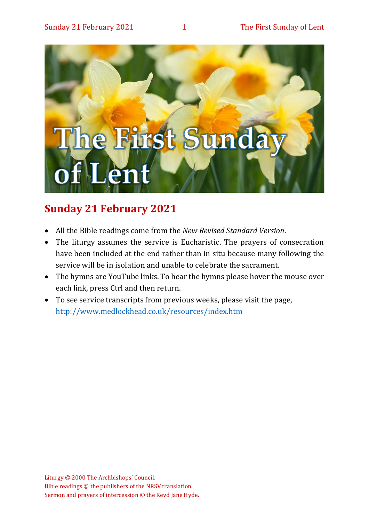

# **Sunday 21 February 2021**

- All the Bible readings come from the *New Revised Standard Version*.
- The liturgy assumes the service is Eucharistic. The prayers of consecration have been included at the end rather than in situ because many following the service will be in isolation and unable to celebrate the sacrament.
- The hymns are YouTube links. To hear the hymns please hover the mouse over each link, press Ctrl and then return.
- To see service transcripts from previous weeks, please visit the page, <http://www.medlockhead.co.uk/resources/index.htm>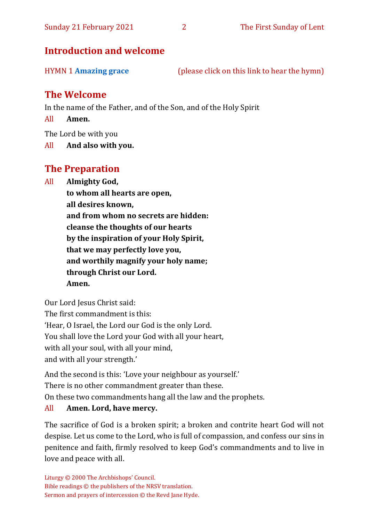# **Introduction and welcome**

# **The Welcome**

In the name of the Father, and of the Son, and of the Holy Spirit

All **Amen.**

The Lord be with you

All **And also with you.**

# **The Preparation**

All **Almighty God,**

**to whom all hearts are open, all desires known, and from whom no secrets are hidden: cleanse the thoughts of our hearts by the inspiration of your Holy Spirit, that we may perfectly love you, and worthily magnify your holy name; through Christ our Lord. Amen.**

Our Lord Jesus Christ said:

The first commandment is this: 'Hear, O Israel, the Lord our God is the only Lord.

You shall love the Lord your God with all your heart,

with all your soul, with all your mind,

and with all your strength.'

And the second is this: 'Love your neighbour as yourself.'

There is no other commandment greater than these.

On these two commandments hang all the law and the prophets.

# All **Amen. Lord, have mercy.**

The sacrifice of God is a broken spirit; a broken and contrite heart God will not despise. Let us come to the Lord, who is full of compassion, and confess our sins in penitence and faith, firmly resolved to keep God's commandments and to live in love and peace with all.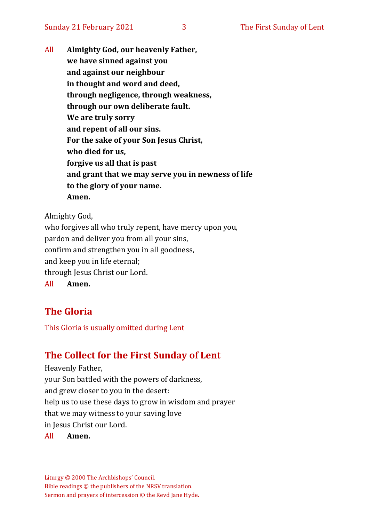All **Almighty God, our heavenly Father, we have sinned against you and against our neighbour in thought and word and deed, through negligence, through weakness, through our own deliberate fault. We are truly sorry and repent of all our sins. For the sake of your Son Jesus Christ, who died for us, forgive us all that is past and grant that we may serve you in newness of life to the glory of your name. Amen.**

Almighty God,

who forgives all who truly repent, have mercy upon you, pardon and deliver you from all your sins, confirm and strengthen you in all goodness, and keep you in life eternal; through Jesus Christ our Lord. All **Amen.**

# **The Gloria**

This Gloria is usually omitted during Lent

# **The Collect for the First Sunday of Lent**

Heavenly Father, your Son battled with the powers of darkness, and grew closer to you in the desert: help us to use these days to grow in wisdom and prayer that we may witness to your saving love in Jesus Christ our Lord.

All **Amen.**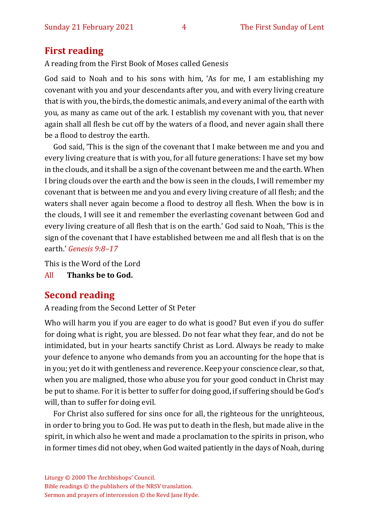#### **First reading**

A reading from the First Book of Moses called Genesis

God said to Noah and to his sons with him, 'As for me, I am establishing my covenant with you and your descendants after you, and with every living creature that is with you, the birds, the domestic animals, and every animal of the earth with you, as many as came out of the ark. I establish my covenant with you, that never again shall all flesh be cut off by the waters of a flood, and never again shall there be a flood to destroy the earth.

God said, 'This is the sign of the covenant that I make between me and you and every living creature that is with you, for all future generations: I have set my bow in the clouds, and it shall be a sign of the covenant between me and the earth. When I bring clouds over the earth and the bow is seen in the clouds, I will remember my covenant that is between me and you and every living creature of all flesh; and the waters shall never again become a flood to destroy all flesh. When the bow is in the clouds, I will see it and remember the everlasting covenant between God and every living creature of all flesh that is on the earth.' God said to Noah, 'This is the sign of the covenant that I have established between me and all flesh that is on the earth.' *Genesis 9:8–17*

This is the Word of the Lord

All **Thanks be to God.**

#### **Second reading**

A reading from the Second Letter of St Peter

Who will harm you if you are eager to do what is good? But even if you do suffer for doing what is right, you are blessed. Do not fear what they fear, and do not be intimidated, but in your hearts sanctify Christ as Lord. Always be ready to make your defence to anyone who demands from you an accounting for the hope that is in you; yet do it with gentleness and reverence. Keep your conscience clear, so that, when you are maligned, those who abuse you for your good conduct in Christ may be put to shame. For it is better to suffer for doing good, if suffering should be God's will, than to suffer for doing evil.

For Christ also suffered for sins once for all, the righteous for the unrighteous, in order to bring you to God. He was put to death in the flesh, but made alive in the spirit, in which also he went and made a proclamation to the spirits in prison, who in former times did not obey, when God waited patiently in the days of Noah, during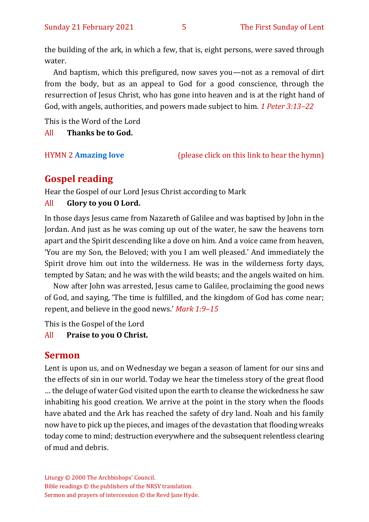the building of the ark, in which a few, that is, eight persons, were saved through water.

And baptism, which this prefigured, now saves you—not as a removal of dirt from the body, but as an appeal to God for a good conscience, through the resurrection of Jesus Christ, who has gone into heaven and is at the right hand of God, with angels, authorities, and powers made subject to him. *1 Peter 3:13–22*

This is the Word of the Lord

All **Thanks be to God.**

HYMN 2 **[Amazing love](https://www.youtube.com/watch?v=ItR0E1lg7lY)** (please click on this link to hear the hymn)

#### **Gospel reading**

Hear the Gospel of our Lord Jesus Christ according to Mark

#### All **Glory to you O Lord.**

In those days Jesus came from Nazareth of Galilee and was baptised by John in the Jordan. And just as he was coming up out of the water, he saw the heavens torn apart and the Spirit descending like a dove on him. And a voice came from heaven, 'You are my Son, the Beloved; with you I am well pleased.' And immediately the Spirit drove him out into the wilderness. He was in the wilderness forty days, tempted by Satan; and he was with the wild beasts; and the angels waited on him.

Now after John was arrested, Jesus came to Galilee, proclaiming the good news of God, and saying, 'The time is fulfilled, and the kingdom of God has come near; repent, and believe in the good news.' *Mark 1:9–15*

This is the Gospel of the Lord

#### All **Praise to you O Christ.**

#### **Sermon**

Lent is upon us, and on Wednesday we began a season of lament for our sins and the effects of sin in our world. Today we hear the timeless story of the great flood … the deluge of water God visited upon the earth to cleanse the wickedness he saw inhabiting his good creation. We arrive at the point in the story when the floods have abated and the Ark has reached the safety of dry land. Noah and his family now have to pick up the pieces, and images of the devastation that flooding wreaks today come to mind; destruction everywhere and the subsequent relentless clearing of mud and debris.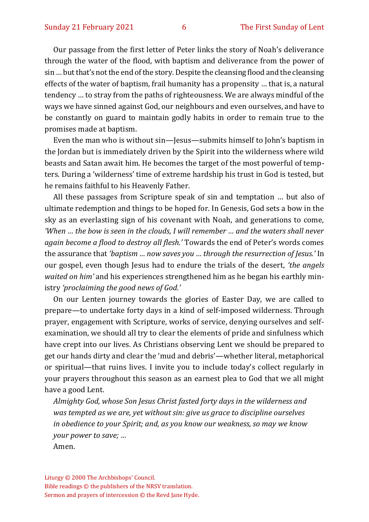Our passage from the first letter of Peter links the story of Noah's deliverance through the water of the flood, with baptism and deliverance from the power of sin … but that's not the end of the story. Despite the cleansing flood and the cleansing effects of the water of baptism, frail humanity has a propensity … that is, a natural tendency … to stray from the paths of righteousness. We are always mindful of the ways we have sinned against God, our neighbours and even ourselves, and have to be constantly on guard to maintain godly habits in order to remain true to the promises made at baptism.

Even the man who is without sin—Jesus—submits himself to John's baptism in the Jordan but is immediately driven by the Spirit into the wilderness where wild beasts and Satan await him. He becomes the target of the most powerful of tempters. During a 'wilderness' time of extreme hardship his trust in God is tested, but he remains faithful to his Heavenly Father.

All these passages from Scripture speak of sin and temptation … but also of ultimate redemption and things to be hoped for. In Genesis, God sets a bow in the sky as an everlasting sign of his covenant with Noah, and generations to come, *'When … the bow is seen in the clouds, I will remember … and the waters shall never again become a flood to destroy all flesh.'* Towards the end of Peter's words comes the assurance that *'baptism … now saves you … through the resurrection of Jesus.'* In our gospel, even though Jesus had to endure the trials of the desert, *'the angels waited on him'* and his experiences strengthened him as he began his earthly ministry *'proclaiming the good news of God.'*

On our Lenten journey towards the glories of Easter Day, we are called to prepare—to undertake forty days in a kind of self-imposed wilderness. Through prayer, engagement with Scripture, works of service, denying ourselves and selfexamination, we should all try to clear the elements of pride and sinfulness which have crept into our lives. As Christians observing Lent we should be prepared to get our hands dirty and clear the 'mud and debris'—whether literal, metaphorical or spiritual—that ruins lives. I invite you to include today's collect regularly in your prayers throughout this season as an earnest plea to God that we all might have a good Lent.

*Almighty God, whose Son Jesus Christ fasted forty days in the wilderness and was tempted as we are, yet without sin: give us grace to discipline ourselves in obedience to your Spirit; and, as you know our weakness, so may we know your power to save; …* Amen.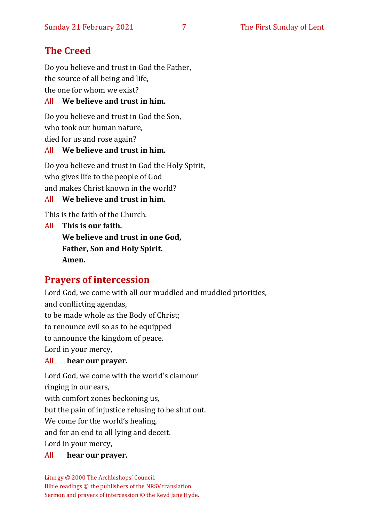# **The Creed**

Do you believe and trust in God the Father, the source of all being and life, the one for whom we exist?

### All **We believe and trust in him.**

Do you believe and trust in God the Son, who took our human nature, died for us and rose again?

#### All **We believe and trust in him.**

Do you believe and trust in God the Holy Spirit, who gives life to the people of God and makes Christ known in the world?

#### All **We believe and trust in him.**

This is the faith of the Church.

All **This is our faith. We believe and trust in one God, Father, Son and Holy Spirit. Amen.**

# **Prayers of intercession**

Lord God, we come with all our muddled and muddied priorities, and conflicting agendas, to be made whole as the Body of Christ; to renounce evil so as to be equipped to announce the kingdom of peace. Lord in your mercy, All **hear our prayer.**

Lord God, we come with the world's clamour

ringing in our ears,

with comfort zones beckoning us,

but the pain of injustice refusing to be shut out.

We come for the world's healing.

and for an end to all lying and deceit.

Lord in your mercy,

#### All **hear our prayer.**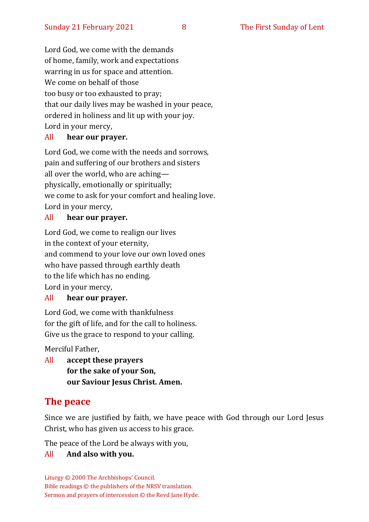Lord God, we come with the demands of home, family, work and expectations warring in us for space and attention. We come on behalf of those too busy or too exhausted to pray; that our daily lives may be washed in your peace, ordered in holiness and lit up with your joy. Lord in your mercy,

#### All **hear our prayer.**

Lord God, we come with the needs and sorrows, pain and suffering of our brothers and sisters all over the world, who are aching physically, emotionally or spiritually; we come to ask for your comfort and healing love. Lord in your mercy,

#### All **hear our prayer.**

Lord God, we come to realign our lives in the context of your eternity, and commend to your love our own loved ones who have passed through earthly death to the life which has no ending. Lord in your mercy,

#### All **hear our prayer.**

Lord God, we come with thankfulness for the gift of life, and for the call to holiness. Give us the grace to respond to your calling.

Merciful Father,

All **accept these prayers for the sake of your Son, our Saviour Jesus Christ. Amen.**

# **The peace**

Since we are justified by faith, we have peace with God through our Lord Jesus Christ, who has given us access to his grace.

The peace of the Lord be always with you,

#### All **And also with you.**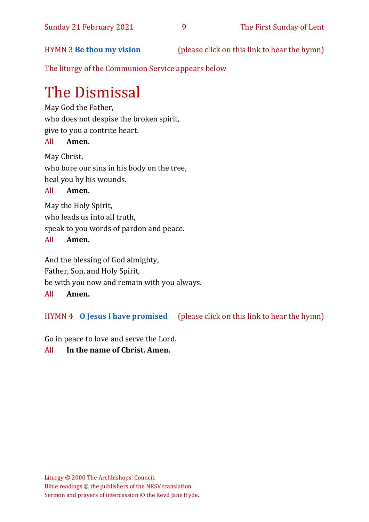HYMN 3 **[Be thou my vision](https://www.youtube.com/watch?v=6CMclLT_Hjg)** (please click on this link to hear the hymn)

The liturgy of the Communion Service appears below

# The Dismissal

May God the Father, who does not despise the broken spirit, give to you a contrite heart.

#### All **Amen.**

May Christ, who bore our sins in his body on the tree, heal you by his wounds.

#### All **Amen.**

May the Holy Spirit, who leads us into all truth, speak to you words of pardon and peace.

#### All **Amen.**

And the blessing of God almighty, Father, Son, and Holy Spirit, be with you now and remain with you always.

All **Amen.**

HYMN 4 **[O Jesus I have promised](https://www.youtube.com/watch?v=UU_cev2ri90)** (please click on this link to hear the hymn)

Go in peace to love and serve the Lord.

All **In the name of Christ. Amen.**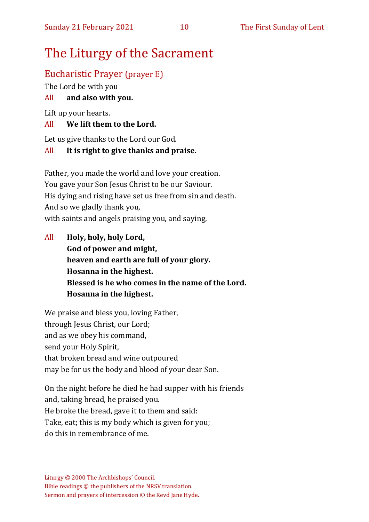# The Liturgy of the Sacrament

# Eucharistic Prayer (prayer E)

The Lord be with you

#### All **and also with you.**

Lift up your hearts.

#### All **We lift them to the Lord.**

Let us give thanks to the Lord our God.

#### All **It is right to give thanks and praise.**

Father, you made the world and love your creation. You gave your Son Jesus Christ to be our Saviour. His dying and rising have set us free from sin and death. And so we gladly thank you, with saints and angels praising you, and saying,

All **Holy, holy, holy Lord, God of power and might, heaven and earth are full of your glory. Hosanna in the highest. Blessed is he who comes in the name of the Lord. Hosanna in the highest.**

We praise and bless you, loving Father, through Jesus Christ, our Lord; and as we obey his command, send your Holy Spirit, that broken bread and wine outpoured may be for us the body and blood of your dear Son.

On the night before he died he had supper with his friends and, taking bread, he praised you. He broke the bread, gave it to them and said: Take, eat; this is my body which is given for you; do this in remembrance of me.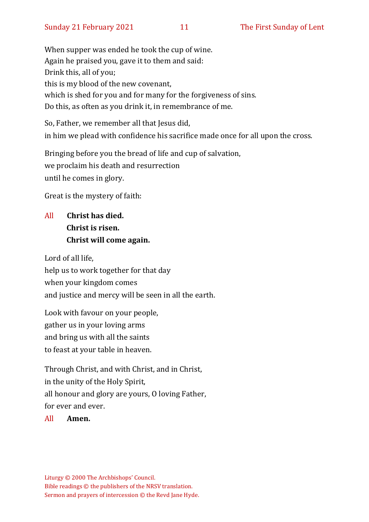When supper was ended he took the cup of wine. Again he praised you, gave it to them and said: Drink this, all of you; this is my blood of the new covenant, which is shed for you and for many for the forgiveness of sins. Do this, as often as you drink it, in remembrance of me.

So, Father, we remember all that Jesus did, in him we plead with confidence his sacrifice made once for all upon the cross.

Bringing before you the bread of life and cup of salvation, we proclaim his death and resurrection until he comes in glory.

Great is the mystery of faith:

# All **Christ has died. Christ is risen. Christ will come again.**

Lord of all life, help us to work together for that day when your kingdom comes and justice and mercy will be seen in all the earth.

Look with favour on your people, gather us in your loving arms and bring us with all the saints to feast at your table in heaven.

Through Christ, and with Christ, and in Christ, in the unity of the Holy Spirit, all honour and glory are yours, O loving Father, for ever and ever.

All **Amen.**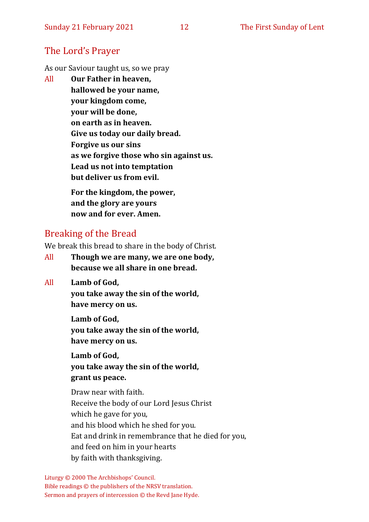# The Lord's Prayer

As our Saviour taught us, so we pray

All **Our Father in heaven, hallowed be your name, your kingdom come, your will be done, on earth as in heaven. Give us today our daily bread. Forgive us our sins as we forgive those who sin against us. Lead us not into temptation but deliver us from evil. For the kingdom, the power,** 

**and the glory are yours now and for ever. Amen.**

# Breaking of the Bread

We break this bread to share in the body of Christ.

- All **Though we are many, we are one body, because we all share in one bread.**
- All **Lamb of God,**

**you take away the sin of the world, have mercy on us.**

**Lamb of God, you take away the sin of the world, have mercy on us.**

**Lamb of God, you take away the sin of the world, grant us peace.**

Draw near with faith. Receive the body of our Lord Jesus Christ which he gave for you, and his blood which he shed for you. Eat and drink in remembrance that he died for you, and feed on him in your hearts by faith with thanksgiving.